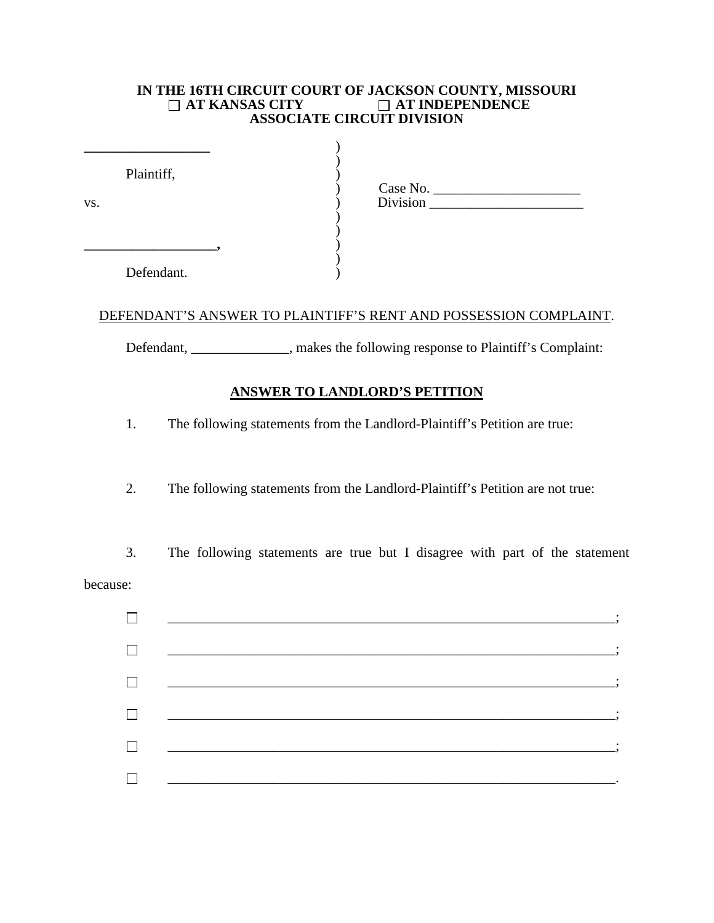## **IN THE 16TH CIRCUIT COURT OF JACKSON COUNTY, MISSOURI<br>**  $\Box$  **AT KANSAS CITY**  $\Box$  AT INDEPENDENCE **AT INDEPENDENCE ASSOCIATE CIRCUIT DIVISION**

| Plaintiff, | Case No. |
|------------|----------|
| VS.        | Division |
| Defendant. |          |

## DEFENDANT'S ANSWER TO PLAINTIFF'S RENT AND POSSESSION COMPLAINT.

Defendant, \_\_\_\_\_\_\_\_\_\_\_\_, makes the following response to Plaintiff's Complaint:

## **ANSWER TO LANDLORD'S PETITION**

1. The following statements from the Landlord-Plaintiff's Petition are true:

2. The following statements from the Landlord-Plaintiff's Petition are not true:

3. The following statements are true but I disagree with part of the statement because:

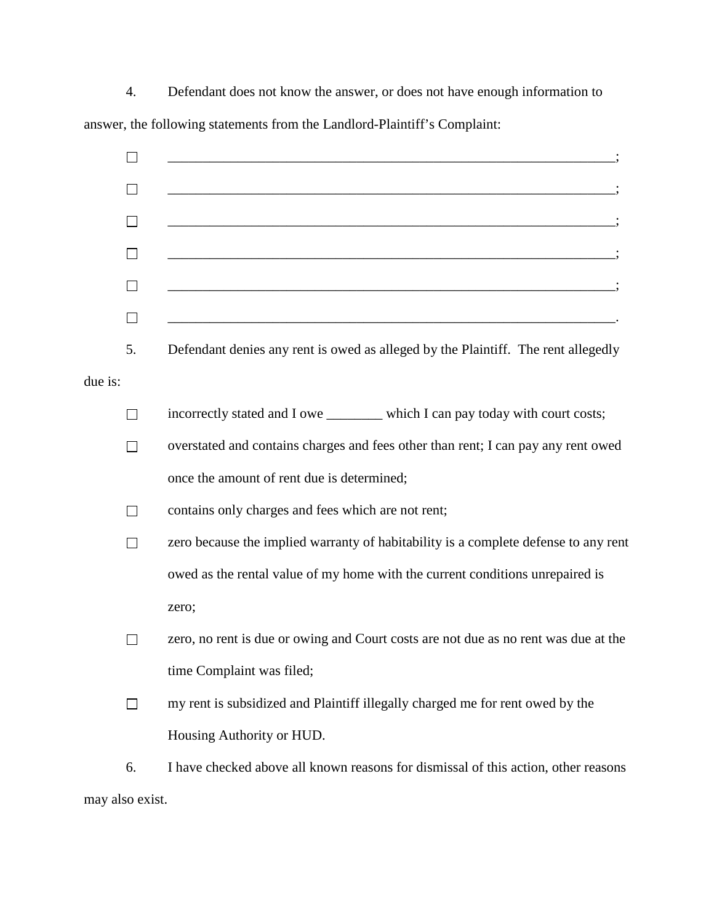4. Defendant does not know the answer, or does not have enough information to answer, the following statements from the Landlord-Plaintiff's Complaint:



may also exist.